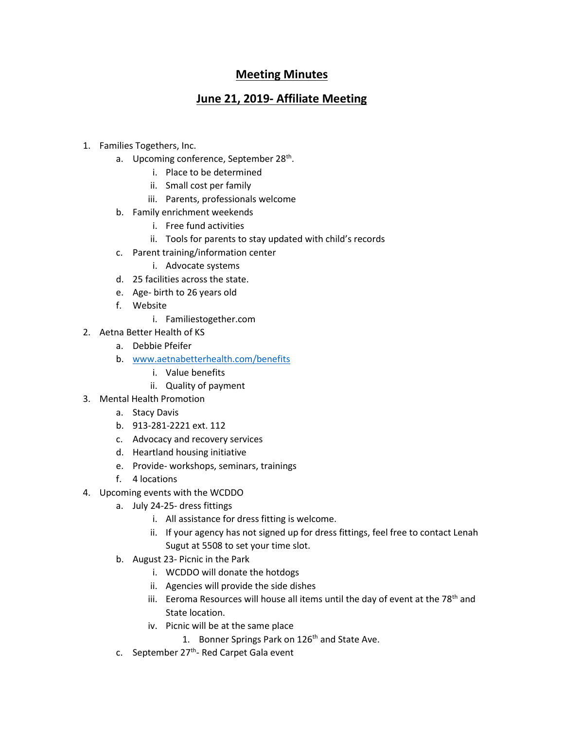## **Meeting Minutes**

## **June 21, 2019- Affiliate Meeting**

- 1. Families Togethers, Inc.
	- a. Upcoming conference, September 28<sup>th</sup>.
		- i. Place to be determined
		- ii. Small cost per family
		- iii. Parents, professionals welcome
	- b. Family enrichment weekends
		- i. Free fund activities
		- ii. Tools for parents to stay updated with child's records
	- c. Parent training/information center
		- i. Advocate systems
	- d. 25 facilities across the state.
	- e. Age- birth to 26 years old
	- f. Website
		- i. Familiestogether.com
- 2. Aetna Better Health of KS
	- a. Debbie Pfeifer
	- b. [www.aetnabetterhealth.com/benefits](http://www.aetnabetterhealth.com/benefits)
		- i. Value benefits
		- ii. Quality of payment
- 3. Mental Health Promotion
	- a. Stacy Davis
	- b. 913-281-2221 ext. 112
	- c. Advocacy and recovery services
	- d. Heartland housing initiative
	- e. Provide- workshops, seminars, trainings
	- f. 4 locations
- 4. Upcoming events with the WCDDO
	- a. July 24-25- dress fittings
		- i. All assistance for dress fitting is welcome.
		- ii. If your agency has not signed up for dress fittings, feel free to contact Lenah Sugut at 5508 to set your time slot.
	- b. August 23- Picnic in the Park
		- i. WCDDO will donate the hotdogs
		- ii. Agencies will provide the side dishes
		- iii. Eeroma Resources will house all items until the day of event at the  $78<sup>th</sup>$  and State location.
		- iv. Picnic will be at the same place
			- 1. Bonner Springs Park on 126<sup>th</sup> and State Ave.
	- c. September 27<sup>th</sup>- Red Carpet Gala event